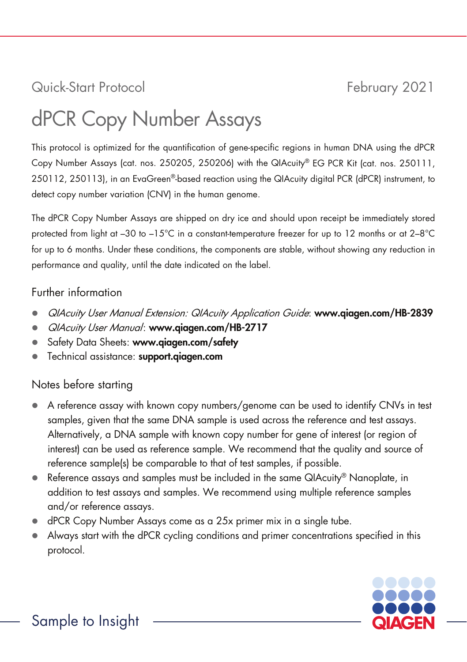# Quick-Start Protocol February 2021

# dPCR Copy Number Assays

This protocol is optimized for the quantification of gene-specific regions in human DNA using the dPCR Copy Number Assays (cat. nos. 250205, 250206) with the QIAcuity® EG PCR Kit (cat. nos. 250111, 250112, 250113), in an EvaGreen®-based reaction using the QIAcuity digital PCR (dPCR) instrument, to detect copy number variation (CNV) in the human genome.

The dPCR Copy Number Assays are shipped on dry ice and should upon receipt be immediately stored protected from light at –30 to –15°C in a constant-temperature freezer for up to 12 months or at 2–8°C for up to 6 months. Under these conditions, the components are stable, without showing any reduction in performance and quality, until the date indicated on the label.

#### Further information

- QIAcuity User Manual Extension: QIAcuity Application Guide: www.qiagen.com/HB-2839
- QIAcuity User Manual: www.qiagen.com/HB-2717
- Safety Data Sheets: www.qiagen.com/safety
- Technical assistance: support.qiagen.com

## Notes before starting

- A reference assay with known copy numbers/genome can be used to identify CNVs in test samples, given that the same DNA sample is used across the reference and test assays. Alternatively, a DNA sample with known copy number for gene of interest (or region of interest) can be used as reference sample. We recommend that the quality and source of reference sample(s) be comparable to that of test samples, if possible.
- Reference assays and samples must be included in the same QIAcuity® Nanoplate, in addition to test assays and samples. We recommend using multiple reference samples and/or reference assays.
- dPCR Copy Number Assays come as a 25x primer mix in a single tube.
- Always start with the dPCR cycling conditions and primer concentrations specified in this protocol.

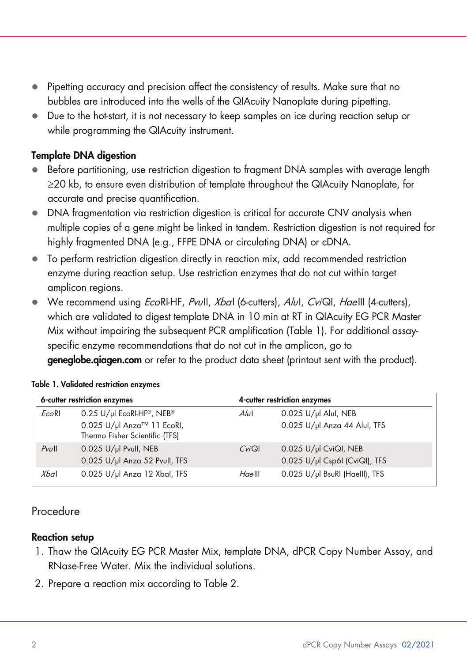- Pipetting accuracy and precision affect the consistency of results. Make sure that no bubbles are introduced into the wells of the QIAcuity Nanoplate during pipetting.
- Due to the hot-start, it is not necessary to keep samples on ice during reaction setup or while programming the QIAcuity instrument.

#### Template DNA digestion

- Before partitioning, use restriction digestion to fragment DNA samples with average length ≥20 kb, to ensure even distribution of template throughout the QIAcuity Nanoplate, for accurate and precise quantification.
- DNA fragmentation via restriction digestion is critical for accurate CNV analysis when multiple copies of a gene might be linked in tandem. Restriction digestion is not required for highly fragmented DNA (e.g., FFPE DNA or circulating DNA) or cDNA.
- To perform restriction digestion directly in reaction mix, add recommended restriction enzyme during reaction setup. Use restriction enzymes that do not cut within target amplicon regions.
- We recommend using *EcoRI-HF, PvuII, XbaI (6-cutters), AluI, CviQI, HaeIII (4-cutters)*, which are validated to digest template DNA in 10 min at RT in QIAcuity EG PCR Master Mix without impairing the subsequent PCR amplification [\(Table 1\)](#page-1-0). For additional assayspecific enzyme recommendations that do not cut in the amplicon, go to

**geneglobe.giagen.com** or refer to the product data sheet (printout sent with the product).

| 6-cutter restriction enzymes |                                                              |                   | 4-cutter restriction enzymes   |  |
|------------------------------|--------------------------------------------------------------|-------------------|--------------------------------|--|
| EcoRI                        | 0.25 U/µl EcoRI-HF®, NEB®                                    | Alul              | 0.025 U/µl Alul, NEB           |  |
|                              | 0.025 U/µl Anza™ 11 EcoRI,<br>Thermo Fisher Scientific (TFS) |                   | 0.025 U/µl Anza 44 Alul, TFS   |  |
| $P$ vull                     | 0.025 U/µl Pvull, NEB                                        | $C$ <i>vi</i> $Q$ | 0.025 U/µl CviQl, NEB          |  |
|                              | 0.025 U/µl Anza 52 Pvull, TFS                                |                   | 0.025 U/µl Csp6I (CviQI), TFS  |  |
| $X$ bal                      | 0.025 U/µl Anza 12 Xbal, TFS                                 | Haelll            | 0.025 U/µl BsuRI (Haelll), TFS |  |

#### <span id="page-1-0"></span>Table 1. Validated restriction enzymes

### Procedure

#### Reaction setup

- 1. Thaw the QIAcuity EG PCR Master Mix, template DNA, dPCR Copy Number Assay, and RNase-Free Water. Mix the individual solutions.
- 2. Prepare a reaction mix according t[o Table 2.](#page-2-0)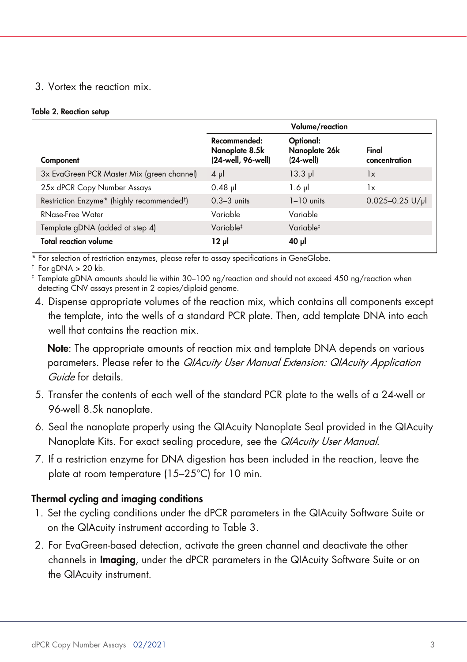#### <span id="page-2-1"></span>3. Vortex the reaction mix.

#### <span id="page-2-0"></span>Table 2. Reaction setup

|                                                        | Volume/reaction                                      |                                                   |                        |
|--------------------------------------------------------|------------------------------------------------------|---------------------------------------------------|------------------------|
| Component                                              | Recommended:<br>Nanoplate 8.5k<br>(24-well, 96-well) | Optional:<br>Nanoplate 26k<br>$(24 \text{ well})$ | Final<br>concentration |
| 3x EvaGreen PCR Master Mix (green channel)             | $4 \mu$                                              | $13.3$ $\mu$                                      | 1x                     |
| 25x dPCR Copy Number Assays                            | $0.48$ pl                                            | $1.6$ pl                                          | 1x                     |
| Restriction Enzyme* (highly recommended <sup>t</sup> ) | $0.3-3$ units                                        | $1-10$ units                                      | $0.025 - 0.25$ U/µ     |
| RNase-Free Water                                       | Variable                                             | Variable                                          |                        |
| Template gDNA (added at step 4)                        | Variable <sup>‡</sup>                                | Variable <sup>‡</sup>                             |                        |
| <b>Total reaction volume</b>                           | 12 pl                                                | ار <sub>ا</sub> 40                                |                        |

\* For selection of restriction enzymes, please refer to assay specifications in GeneGlobe.

 $\dagger$  For gDNA > 20 kb.

‡ Template gDNA amounts should lie within 30–100 ng/reaction and should not exceed 450 ng/reaction when detecting CNV assays present in 2 copies/diploid genome.

4. Dispense appropriate volumes of the reaction mix, which contains all components except the template, into the wells of a standard PCR plate. Then, add template DNA into each well that contains the reaction mix.

Note: The appropriate amounts of reaction mix and template DNA depends on various parameters. Please refer to the *QIAcuity User Manual Extension: QIAcuity Application* Guide for details.

- 5. Transfer the contents of each well of the standard PCR plate to the wells of a 24-well or 96-well 8.5k nanoplate.
- 6. Seal the nanoplate properly using the QIAcuity Nanoplate Seal provided in the QIAcuity Nanoplate Kits. For exact sealing procedure, see the QIAcuity User Manual.
- 7. If a restriction enzyme for DNA digestion has been included in the reaction, leave the plate at room temperature (15–25°C) for 10 min.

#### Thermal cycling and imaging conditions

- 1. Set the cycling conditions under the dPCR parameters in the QIAcuity Software Suite or on the QIAcuity instrument according to [Table 3.](#page-2-1)
- 2. For EvaGreen-based detection, activate the green channel and deactivate the other channels in Imaging, under the dPCR parameters in the QIAcuity Software Suite or on the QIAcuity instrument.